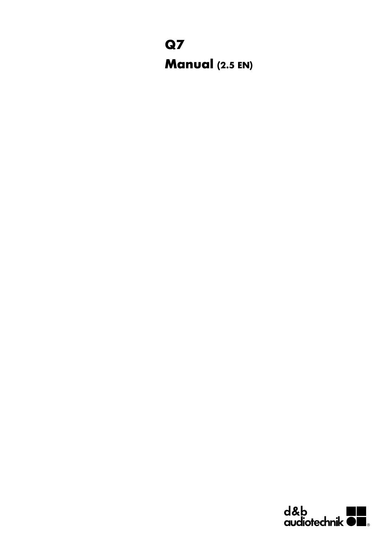## **Q7 Manual (2.5 EN)**

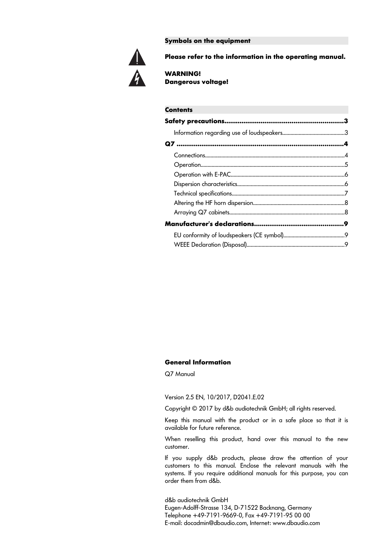**Symbols on the equipment**



**Please refer to the information in the operating manual.**

**WARNING! Dangerous voltage!**

### **Contents Safety precautions..............................................................3** Information regarding use of loudspeakers.............................................3 **Q7 .......................................................................................4** Connections......................................................................................................4 Operation.........................................................................................................5 Operation with E-PAC...................................................................................6 Dispersion characteristics...............................................................................6 Technical specifications...................................................................................7 Altering the HF horn dispersion...................................................................8 Arraying Q7 cabinets....................................................................................8 **Manufacturer's declarations...............................................9** EU conformity of loudspeakers (CE symbol).............................................9 WEEE Declaration (Disposal)........................................................................9

#### **General Information**

Q7 Manual

Version 2.5 EN, 10/2017, D2041.E.02

Copyright © 2017 by d&b audiotechnik GmbH; all rights reserved.

Keep this manual with the product or in a safe place so that it is available for future reference.

When reselling this product, hand over this manual to the new customer.

If you supply d&b products, please draw the attention of your customers to this manual. Enclose the relevant manuals with the systems. If you require additional manuals for this purpose, you can order them from d&b.

d&b audiotechnik GmbH Eugen-Adolff-Strasse 134, D-71522 Backnang, Germany Telephone +49-7191-9669-0, Fax +49-7191-95 00 00 E-mail: docadmin@dbaudio.com, Internet: www.dbaudio.com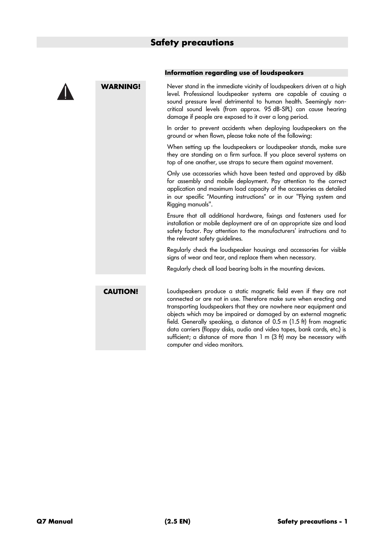

#### **Information regarding use of loudspeakers**

**WARNING!** Never stand in the immediate vicinity of loudspeakers driven at a high level. Professional loudspeaker systems are capable of causing a sound pressure level detrimental to human health. Seemingly noncritical sound levels (from approx. 95 dB-SPL) can cause hearing damage if people are exposed to it over a long period.

> In order to prevent accidents when deploying loudspeakers on the ground or when flown, please take note of the following:

> When setting up the loudspeakers or loudspeaker stands, make sure they are standing on a firm surface. If you place several systems on top of one another, use straps to secure them against movement.

> Only use accessories which have been tested and approved by d&b for assembly and mobile deployment. Pay attention to the correct application and maximum load capacity of the accessories as detailed in our specific "Mounting instructions" or in our "Flying system and Rigging manuals".

> Ensure that all additional hardware, fixings and fasteners used for installation or mobile deployment are of an appropriate size and load safety factor. Pay attention to the manufacturers' instructions and to the relevant safety guidelines.

> Regularly check the loudspeaker housings and accessories for visible signs of wear and tear, and replace them when necessary.

Regularly check all load bearing bolts in the mounting devices.

**CAUTION!** Loudspeakers produce a static magnetic field even if they are not connected or are not in use. Therefore make sure when erecting and transporting loudspeakers that they are nowhere near equipment and objects which may be impaired or damaged by an external magnetic field. Generally speaking, a distance of 0.5 m (1.5 ft) from magnetic data carriers (floppy disks, audio and video tapes, bank cards, etc.) is sufficient; a distance of more than 1 m (3 ft) may be necessary with computer and video monitors.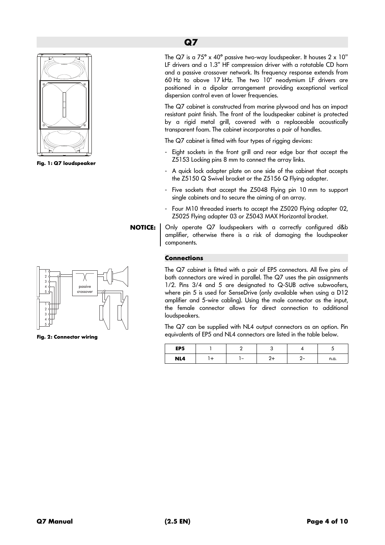

**Fig. 1: Q7 loudspeaker**



**Fig. 2: Connector wiring**

The Q7 is a  $75^{\circ}$  x 40° passive two-way loudspeaker. It houses  $2 \times 10^{\circ}$ LF drivers and a 1.3" HF compression driver with a rotatable CD horn and a passive crossover network. Its frequency response extends from 60 Hz to above 17 kHz. The two 10" neodymium LF drivers are positioned in a dipolar arrangement providing exceptional vertical dispersion control even at lower frequencies.

The Q7 cabinet is constructed from marine plywood and has an impact resistant paint finish. The front of the loudspeaker cabinet is protected by a rigid metal grill, covered with a replaceable acoustically transparent foam. The cabinet incorporates a pair of handles.

The Q7 cabinet is fitted with four types of rigging devices:

- Eight sockets in the front grill and rear edge bar that accept the Z5153 Locking pins 8 mm to connect the array links.
- A quick lock adapter plate on one side of the cabinet that accepts the Z5150 Q Swivel bracket or the Z5156 Q Flying adapter.
- Five sockets that accept the Z5048 Flying pin 10 mm to support single cabinets and to secure the aiming of an array.
- Four M10 threaded inserts to accept the Z5020 Flying adapter 02, Z5025 Flying adapter 03 or Z5043 MAX Horizontal bracket.

**NOTICE:** Only operate Q7 loudspeakers with a correctly configured d&b amplifier, otherwise there is a risk of damaging the loudspeaker components.

#### **Connections**

The Q7 cabinet is fitted with a pair of EP5 connectors. All five pins of both connectors are wired in parallel. The Q7 uses the pin assignments 1/2. Pins 3/4 and 5 are designated to Q-SUB active subwoofers, where pin 5 is used for SenseDrive (only available when using a D12 amplifier and 5-wire cabling). Using the male connector as the input, the female connector allows for direct connection to additional loudspeakers.

The Q7 can be supplied with NL4 output connectors as an option. Pin equivalents of EP5 and NL4 connectors are listed in the table below.

| EP <sub>5</sub> |   |     | ◡    |
|-----------------|---|-----|------|
| NL4             | - | - - | n.a. |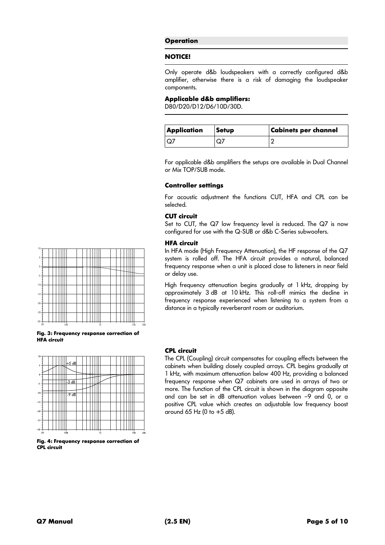#### **Operation**

#### **NOTICE!**

Only operate d&b loudspeakers with a correctly configured d&b amplifier, otherwise there is a risk of damaging the loudspeaker components.

#### **Applicable d&b amplifiers:**

D80/D20/D12/D6/10D/30D.

| Application | <b>Setup</b> | <b>Cabinets per channel</b> |
|-------------|--------------|-----------------------------|
|             | Q,           |                             |

For applicable d&b amplifiers the setups are available in Dual Channel or Mix TOP/SUB mode.

#### **Controller settings**

For acoustic adjustment the functions CUT, HFA and CPL can be selected.

#### **CUT circuit**

Set to CUT, the Q7 low frequency level is reduced. The Q7 is now configured for use with the Q-SUB or d&b C-Series subwoofers.

#### **HFA circuit**

In HFA mode (High Frequency Attenuation), the HF response of the Q7 system is rolled off. The HFA circuit provides a natural, balanced frequency response when a unit is placed close to listeners in near field or delay use.

High frequency attenuation begins gradually at 1 kHz, dropping by approximately 3 dB at 10 kHz. This roll-off mimics the decline in frequency response experienced when listening to a system from a distance in a typically reverberant room or auditorium.



**Fig. 3: Frequency response correction of HFA circuit** 



**Fig. 4: Frequency response correction of CPL circuit**

#### **CPL circuit**

The CPL (Coupling) circuit compensates for coupling effects between the cabinets when building closely coupled arrays. CPL begins gradually at 1 kHz, with maximum attenuation below 400 Hz, providing a balanced frequency response when Q7 cabinets are used in arrays of two or more. The function of the CPL circuit is shown in the diagram opposite and can be set in dB attenuation values between –9 and 0, or a positive CPL value which creates an adjustable low frequency boost around 65 Hz (0 to  $+5$  dB).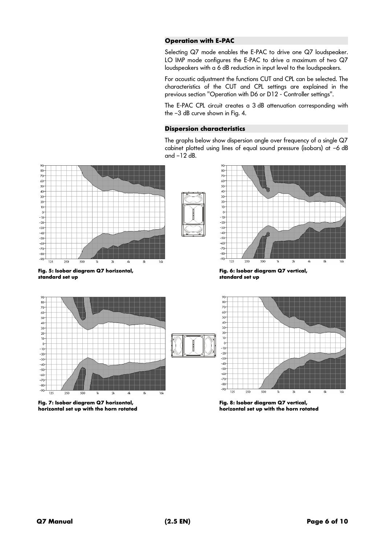#### **Operation with E-PAC**

Selecting Q7 mode enables the E-PAC to drive one Q7 loudspeaker. LO IMP mode configures the E-PAC to drive a maximum of two Q7 loudspeakers with a 6 dB reduction in input level to the loudspeakers.

For acoustic adjustment the functions CUT and CPL can be selected. The characteristics of the CUT and CPL settings are explained in the previous section "Operation with D6 or D12 - Controller settings".

The E-PAC CPL circuit creates a 3 dB attenuation corresponding with the –3 dB curve shown in Fig. 4.

#### **Dispersion characteristics**

The graphs below show dispersion angle over frequency of a single Q7 cabinet plotted using lines of equal sound pressure (isobars) at –6 dB and –12 dB.



**Fig. 5: Isobar diagram Q7 horizontal, standard set up**





**Fig. 6: Isobar diagram Q7 vertical, standard set up**



**Fig. 7: Isobar diagram Q7 horizontal, horizontal set up with the horn rotated**



**Fig. 8: Isobar diagram Q7 vertical, horizontal set up with the horn rotated**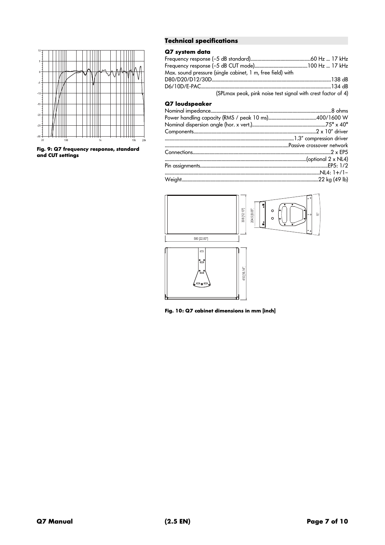

Fig. 9: Q7 frequency response, standard<br>and CUT settings

#### **Technical specifications**

#### Q7 system data

| Max. sound pressure (single cabinet, 1 m, free field) with   |  |  |  |  |  |
|--------------------------------------------------------------|--|--|--|--|--|
|                                                              |  |  |  |  |  |
|                                                              |  |  |  |  |  |
| (SPLmax peak, pink noise test signal with crest factor of 4) |  |  |  |  |  |

#### Q7 loudspeaker



Fig. 10: Q7 cabinet dimensions in mm [inch]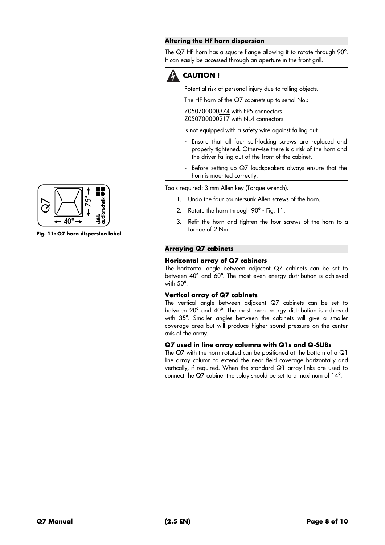#### **Altering the HF horn dispersion**

The Q7 HF horn has a square flange allowing it to rotate through 90°. It can easily be accessed through an aperture in the front grill.



#### **CAUTION !**

Potential risk of personal injury due to falling objects.

The HF horn of the Q7 cabinets up to serial No.:

Z050700000374 with EP5 connectors Z050700000217 with NL4 connectors

is not equipped with a safety wire against falling out.

- Ensure that all four self-locking screws are replaced and properly tightened. Otherwise there is a risk of the horn and the driver falling out of the front of the cabinet.
- Before setting up Q7 loudspeakers always ensure that the horn is mounted correctly.

Tools required: 3 mm Allen key (Torque wrench).

- 1. Undo the four countersunk Allen screws of the horn.
- 2. Rotate the horn through 90° Fig. 11.
- 3. Refit the horn and tighten the four screws of the horn to a torque of 2 Nm.

#### **Arraying Q7 cabinets**

#### **Horizontal array of Q7 cabinets**

The horizontal angle between adjacent Q7 cabinets can be set to between 40° and 60°. The most even energy distribution is achieved with 50°.

#### **Vertical array of Q7 cabinets**

The vertical angle between adjacent Q7 cabinets can be set to between 20° and 40°. The most even energy distribution is achieved with 35°. Smaller angles between the cabinets will give a smaller coverage area but will produce higher sound pressure on the center axis of the array.

#### **Q7 used in line array columns with Q1s and Q-SUBs**

The Q7 with the horn rotated can be positioned at the bottom of a Q1 line array column to extend the near field coverage horizontally and vertically, if required. When the standard Q1 array links are used to connect the Q7 cabinet the splay should be set to a maximum of 14°.



**Fig. 11: Q7 horn dispersion label**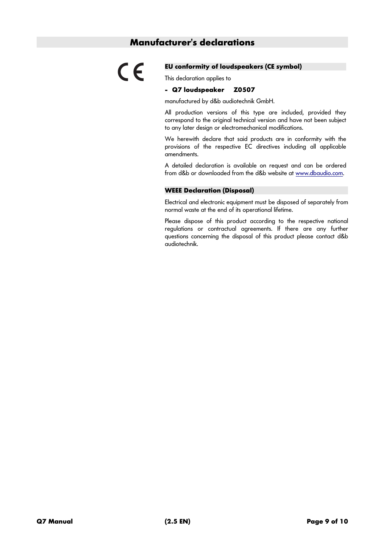#### **Manufacturer's declarations**

# $\epsilon$

#### **EU conformity of loudspeakers (CE symbol)**

This declaration applies to

#### **- Q7 loudspeaker Z0507**

manufactured by d&b audiotechnik GmbH.

All production versions of this type are included, provided they correspond to the original technical version and have not been subject to any later design or electromechanical modifications.

We herewith declare that said products are in conformity with the provisions of the respective EC directives including all applicable amendments.

A detailed declaration is available on request and can be ordered from d&b or downloaded from the d&b website at [www.dbaudio.com](http://www.dbaudio.com/).

#### **WEEE Declaration (Disposal)**

Electrical and electronic equipment must be disposed of separately from normal waste at the end of its operational lifetime.

Please dispose of this product according to the respective national regulations or contractual agreements. If there are any further questions concerning the disposal of this product please contact d&b audiotechnik.